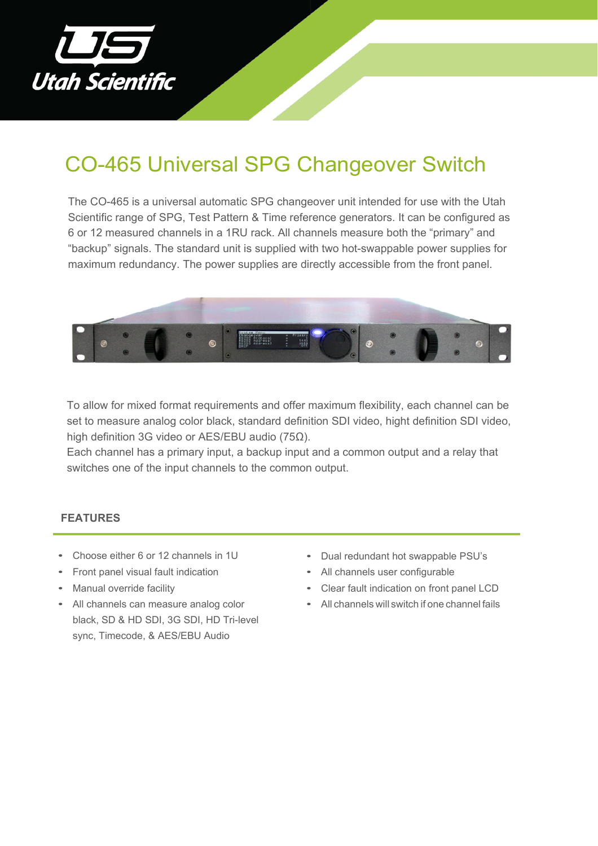

# CO-465 Universal SPG Changeover Switch

The CO-465 is a universal automatic SPG changeover unit intended for use with the Utah Scientific range of SPG, Test Pattern & Time reference generators. It can be configured as 6 or 12 measured channels in a 1RU rack. All channels measure both the "primary" and "backup" signals. The standard unit is supplied with two hot-swappable power supplies for maximum redundancy. The power supplies are directly accessible from the front panel.



To allow for mixed format requirements and offer maximum flexibility, each channel can be set to measure analog color black, standard definition SDI video, hight definition SDI video, high definition 3G video or AES/EBU audio (75Ω).

Each channel has a primary input, a backup input and a common output and a relay that switches one of the input channels to the common output.

# **FEATURES**

- Choose either 6 or 12 channels in 1U
- Front panel visual fault indication
- Manual override facility
- All channels can measure analog color black, SD & HD SDI, 3G SDI, HD Tri-level sync, Timecode, & AES/EBU Audio
- Dual redundant hot swappable PSU's
- All channels user configurable
- Clear fault indication on front panel LCD
- All channels will switch if one channel fails